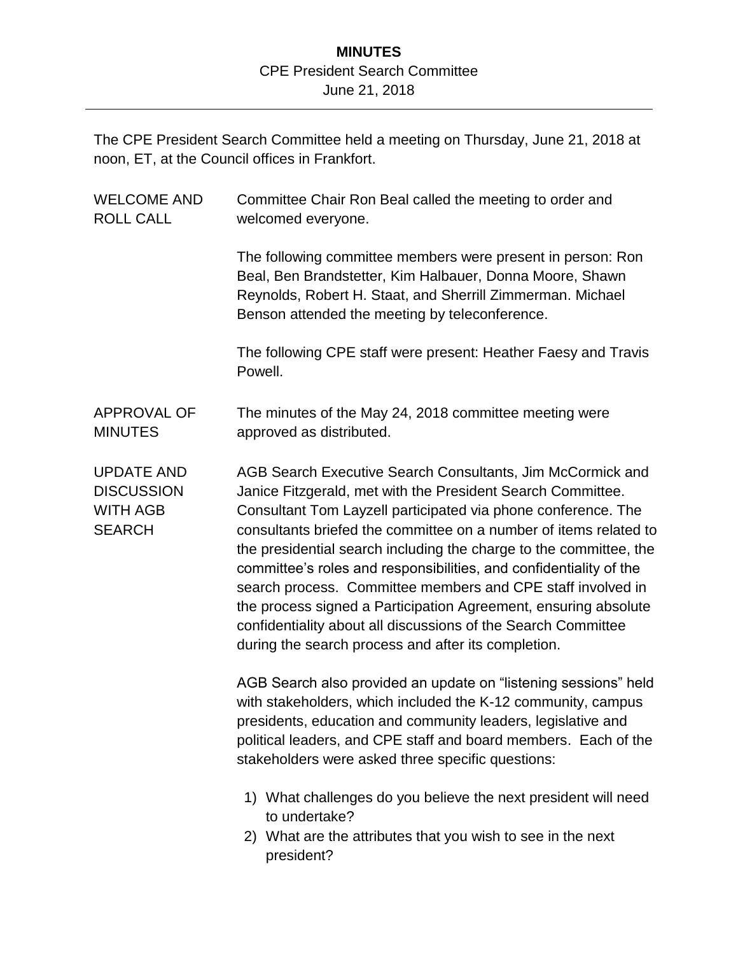## **MINUTES** CPE President Search Committee June 21, 2018

The CPE President Search Committee held a meeting on Thursday, June 21, 2018 at noon, ET, at the Council offices in Frankfort.

| <b>WELCOME AND</b><br><b>ROLL CALL</b>                                     | Committee Chair Ron Beal called the meeting to order and<br>welcomed everyone.                                                                                                                                                                                                                                                                                                                                                                                                                                                                                                                                                                                        |
|----------------------------------------------------------------------------|-----------------------------------------------------------------------------------------------------------------------------------------------------------------------------------------------------------------------------------------------------------------------------------------------------------------------------------------------------------------------------------------------------------------------------------------------------------------------------------------------------------------------------------------------------------------------------------------------------------------------------------------------------------------------|
|                                                                            | The following committee members were present in person: Ron<br>Beal, Ben Brandstetter, Kim Halbauer, Donna Moore, Shawn<br>Reynolds, Robert H. Staat, and Sherrill Zimmerman. Michael<br>Benson attended the meeting by teleconference.                                                                                                                                                                                                                                                                                                                                                                                                                               |
|                                                                            | The following CPE staff were present: Heather Faesy and Travis<br>Powell.                                                                                                                                                                                                                                                                                                                                                                                                                                                                                                                                                                                             |
| <b>APPROVAL OF</b><br><b>MINUTES</b>                                       | The minutes of the May 24, 2018 committee meeting were<br>approved as distributed.                                                                                                                                                                                                                                                                                                                                                                                                                                                                                                                                                                                    |
| <b>UPDATE AND</b><br><b>DISCUSSION</b><br><b>WITH AGB</b><br><b>SEARCH</b> | AGB Search Executive Search Consultants, Jim McCormick and<br>Janice Fitzgerald, met with the President Search Committee.<br>Consultant Tom Layzell participated via phone conference. The<br>consultants briefed the committee on a number of items related to<br>the presidential search including the charge to the committee, the<br>committee's roles and responsibilities, and confidentiality of the<br>search process. Committee members and CPE staff involved in<br>the process signed a Participation Agreement, ensuring absolute<br>confidentiality about all discussions of the Search Committee<br>during the search process and after its completion. |
|                                                                            | AGB Search also provided an update on "listening sessions" held<br>with stakeholders, which included the K-12 community, campus<br>presidents, education and community leaders, legislative and<br>political leaders, and CPE staff and board members. Each of the<br>stakeholders were asked three specific questions:                                                                                                                                                                                                                                                                                                                                               |
|                                                                            | 1) What challenges do you believe the next president will need<br>to undertake?<br>2) What are the attributes that you wish to see in the next<br>president?                                                                                                                                                                                                                                                                                                                                                                                                                                                                                                          |